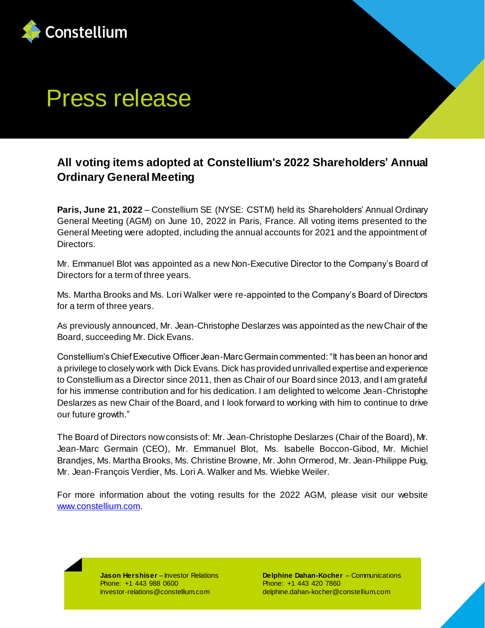

## Press release

## **All voting items adopted at Constellium's 2022 Shareholders' Annual Ordinary General Meeting**

**Paris, June 21, 2022** – Constellium SE (NYSE: CSTM) held its Shareholders' Annual Ordinary General Meeting (AGM) on June 10, 2022 in Paris, France. All voting items presented to the General Meeting were adopted, including the annual accounts for 2021 and the appointment of Directors.

Mr. Emmanuel Blot was appointed as a new Non-Executive Director to the Company's Board of Directors for a term of three years.

Ms. Martha Brooks and Ms. Lori Walker were re-appointed to the Company's Board of Directors for a term of three years.

As previously announced, Mr. Jean-Christophe Deslarzes was appointed as the new Chair of the Board, succeeding Mr. Dick Evans.

Constellium's Chief Executive Officer Jean-Marc Germain commented: "It has been an honor and a privilege to closely work with Dick Evans. Dick has provided unrivalled expertise and experience to Constellium as a Director since 2011, then as Chair of our Board since 2013, and I am grateful for his immense contribution and for his dedication. I am delighted to welcome Jean-Christophe Deslarzes as new Chair of the Board, and I look forward to working with him to continue to drive our future growth."

The Board of Directors now consists of: Mr. Jean-Christophe Deslarzes (Chair of the Board), Mr. Jean-Marc Germain (CEO), Mr. Emmanuel Blot, Ms. Isabelle Boccon-Gibod, Mr. Michiel Brandjes, Ms. Martha Brooks, Ms. Christine Browne, Mr. John Ormerod, Mr. Jean-Philippe Puig, Mr. Jean-François Verdier, Ms. Lori A. Walker and Ms. Wiebke Weiler.

For more information about the voting results for the 2022 AGM, please visit our website [www.constellium.com.](http://www.constellium.com/)

> **Jason Hershiser** – Investor Relations Phone: +1 443 988 0600 investor-relations@constellium.com

**Delphine Dahan-Kocher** – Communications Phone: +1 443 420 7860 delphine.dahan-kocher@constellium.com